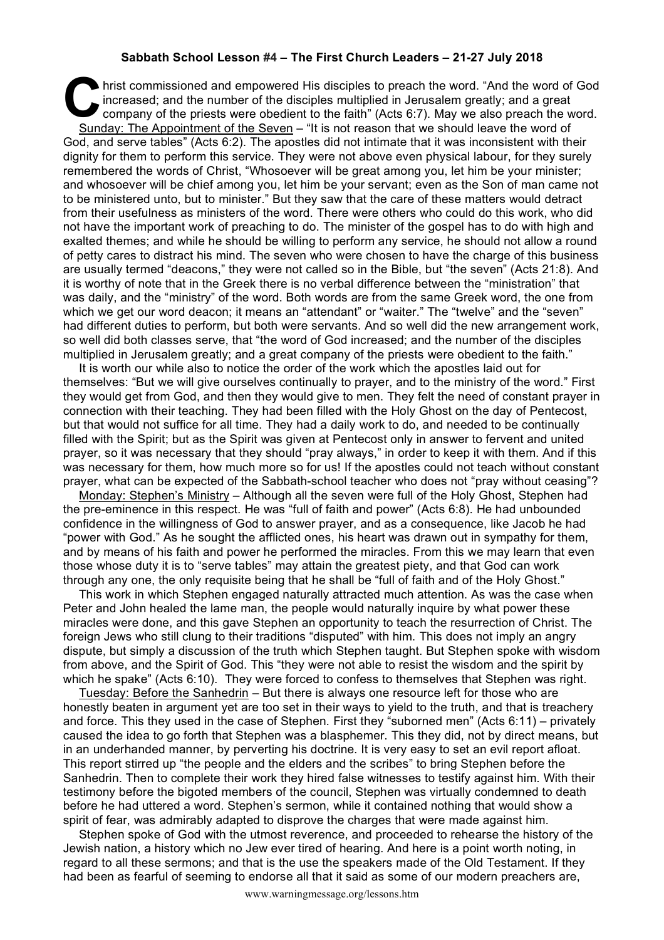## **Sabbath School Lesson #4 – The First Church Leaders – 21-27 July 2018**

hrist commissioned and empowered His disciples to preach the word. "And the word of God<br>
increased; and the number of the disciples multiplied in Jerusalem greatly; and a great<br>
company of the priests were obedient to the increased; and the number of the disciples multiplied in Jerusalem greatly; and a great company of the priests were obedient to the faith" (Acts 6:7). May we also preach the word. Sunday: The Appointment of the Seven – "It is not reason that we should leave the word of God, and serve tables" (Acts 6:2). The apostles did not intimate that it was inconsistent with their dignity for them to perform this service. They were not above even physical labour, for they surely remembered the words of Christ, "Whosoever will be great among you, let him be your minister; and whosoever will be chief among you, let him be your servant; even as the Son of man came not to be ministered unto, but to minister." But they saw that the care of these matters would detract from their usefulness as ministers of the word. There were others who could do this work, who did not have the important work of preaching to do. The minister of the gospel has to do with high and exalted themes; and while he should be willing to perform any service, he should not allow a round of petty cares to distract his mind. The seven who were chosen to have the charge of this business are usually termed "deacons," they were not called so in the Bible, but "the seven" (Acts 21:8). And it is worthy of note that in the Greek there is no verbal difference between the "ministration" that was daily, and the "ministry" of the word. Both words are from the same Greek word, the one from which we get our word deacon; it means an "attendant" or "waiter." The "twelve" and the "seven" had different duties to perform, but both were servants. And so well did the new arrangement work, so well did both classes serve, that "the word of God increased; and the number of the disciples multiplied in Jerusalem greatly; and a great company of the priests were obedient to the faith."

It is worth our while also to notice the order of the work which the apostles laid out for themselves: "But we will give ourselves continually to prayer, and to the ministry of the word." First they would get from God, and then they would give to men. They felt the need of constant prayer in connection with their teaching. They had been filled with the Holy Ghost on the day of Pentecost, but that would not suffice for all time. They had a daily work to do, and needed to be continually filled with the Spirit; but as the Spirit was given at Pentecost only in answer to fervent and united prayer, so it was necessary that they should "pray always," in order to keep it with them. And if this was necessary for them, how much more so for us! If the apostles could not teach without constant prayer, what can be expected of the Sabbath-school teacher who does not "pray without ceasing"?

Monday: Stephen's Ministry – Although all the seven were full of the Holy Ghost, Stephen had the pre-eminence in this respect. He was "full of faith and power" (Acts 6:8). He had unbounded confidence in the willingness of God to answer prayer, and as a consequence, like Jacob he had "power with God." As he sought the afflicted ones, his heart was drawn out in sympathy for them, and by means of his faith and power he performed the miracles. From this we may learn that even those whose duty it is to "serve tables" may attain the greatest piety, and that God can work through any one, the only requisite being that he shall be "full of faith and of the Holy Ghost."

This work in which Stephen engaged naturally attracted much attention. As was the case when Peter and John healed the lame man, the people would naturally inquire by what power these miracles were done, and this gave Stephen an opportunity to teach the resurrection of Christ. The foreign Jews who still clung to their traditions "disputed" with him. This does not imply an angry dispute, but simply a discussion of the truth which Stephen taught. But Stephen spoke with wisdom from above, and the Spirit of God. This "they were not able to resist the wisdom and the spirit by which he spake" (Acts 6:10). They were forced to confess to themselves that Stephen was right.

Tuesday: Before the Sanhedrin – But there is always one resource left for those who are honestly beaten in argument yet are too set in their ways to yield to the truth, and that is treachery and force. This they used in the case of Stephen. First they "suborned men" (Acts 6:11) – privately caused the idea to go forth that Stephen was a blasphemer. This they did, not by direct means, but in an underhanded manner, by perverting his doctrine. It is very easy to set an evil report afloat. This report stirred up "the people and the elders and the scribes" to bring Stephen before the Sanhedrin. Then to complete their work they hired false witnesses to testify against him. With their testimony before the bigoted members of the council, Stephen was virtually condemned to death before he had uttered a word. Stephen's sermon, while it contained nothing that would show a spirit of fear, was admirably adapted to disprove the charges that were made against him.

Stephen spoke of God with the utmost reverence, and proceeded to rehearse the history of the Jewish nation, a history which no Jew ever tired of hearing. And here is a point worth noting, in regard to all these sermons; and that is the use the speakers made of the Old Testament. If they had been as fearful of seeming to endorse all that it said as some of our modern preachers are,